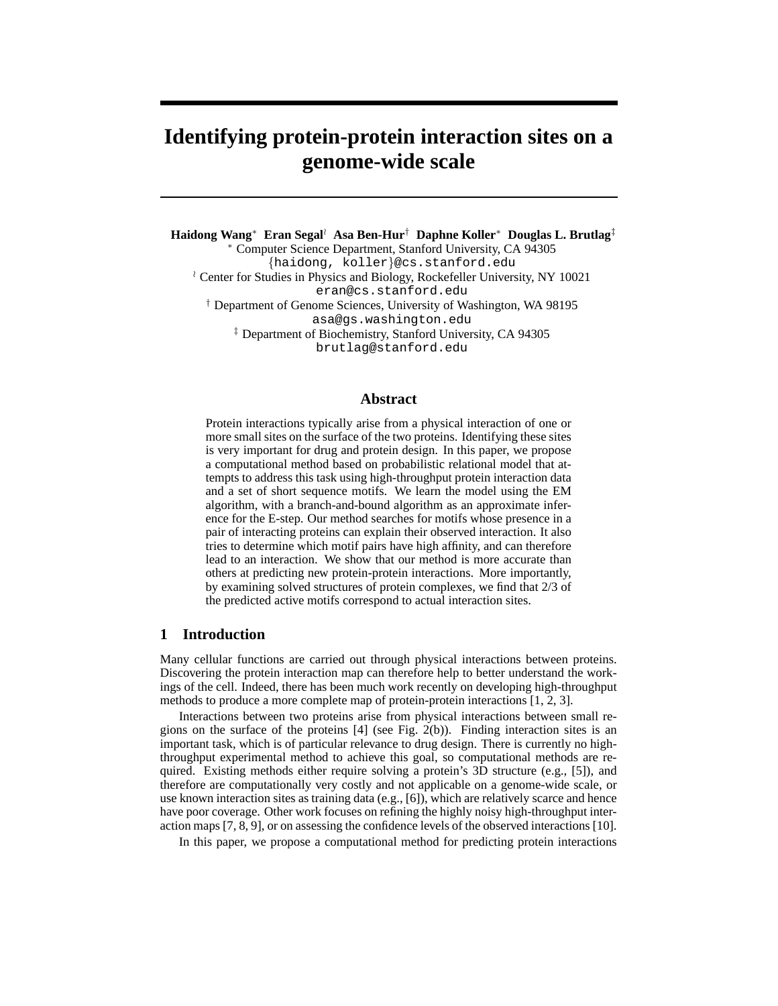# **Identifying protein-protein interaction sites on a genome-wide scale**

**Haidong Wang**<sup>∗</sup> **Eran Segal**<sup>o</sup> **Asa Ben-Hur**† **Daphne Koller**<sup>∗</sup> **Douglas L. Brutlag**‡ <sup>∗</sup> Computer Science Department, Stanford University, CA 94305

{haidong, koller}@cs.stanford.edu <sup> $\lambda$ </sup> Center for Studies in Physics and Biology, Rockefeller University, NY 10021 eran@cs.stanford.edu † Department of Genome Sciences, University of Washington, WA 98195 asa@gs.washington.edu ‡ Department of Biochemistry, Stanford University, CA 94305

brutlag@stanford.edu

#### **Abstract**

Protein interactions typically arise from a physical interaction of one or more small sites on the surface of the two proteins. Identifying these sites is very important for drug and protein design. In this paper, we propose a computational method based on probabilistic relational model that attempts to address this task using high-throughput protein interaction data and a set of short sequence motifs. We learn the model using the EM algorithm, with a branch-and-bound algorithm as an approximate inference for the E-step. Our method searches for motifs whose presence in a pair of interacting proteins can explain their observed interaction. It also tries to determine which motif pairs have high affinity, and can therefore lead to an interaction. We show that our method is more accurate than others at predicting new protein-protein interactions. More importantly, by examining solved structures of protein complexes, we find that 2/3 of the predicted active motifs correspond to actual interaction sites.

#### **1 Introduction**

Many cellular functions are carried out through physical interactions between proteins. Discovering the protein interaction map can therefore help to better understand the workings of the cell. Indeed, there has been much work recently on developing high-throughput methods to produce a more complete map of protein-protein interactions [1, 2, 3].

Interactions between two proteins arise from physical interactions between small regions on the surface of the proteins [4] (see Fig. 2(b)). Finding interaction sites is an important task, which is of particular relevance to drug design. There is currently no highthroughput experimental method to achieve this goal, so computational methods are required. Existing methods either require solving a protein's 3D structure (e.g.,  $[5]$ ), and therefore are computationally very costly and not applicable on a genome-wide scale, or use known interaction sites as training data  $(e.g., [6])$ , which are relatively scarce and hence have poor coverage. Other work focuses on refining the highly noisy high-throughput interaction maps [7, 8, 9], or on assessing the confidence levels of the observed interactions [10].

In this paper, we propose a computational method for predicting protein interactions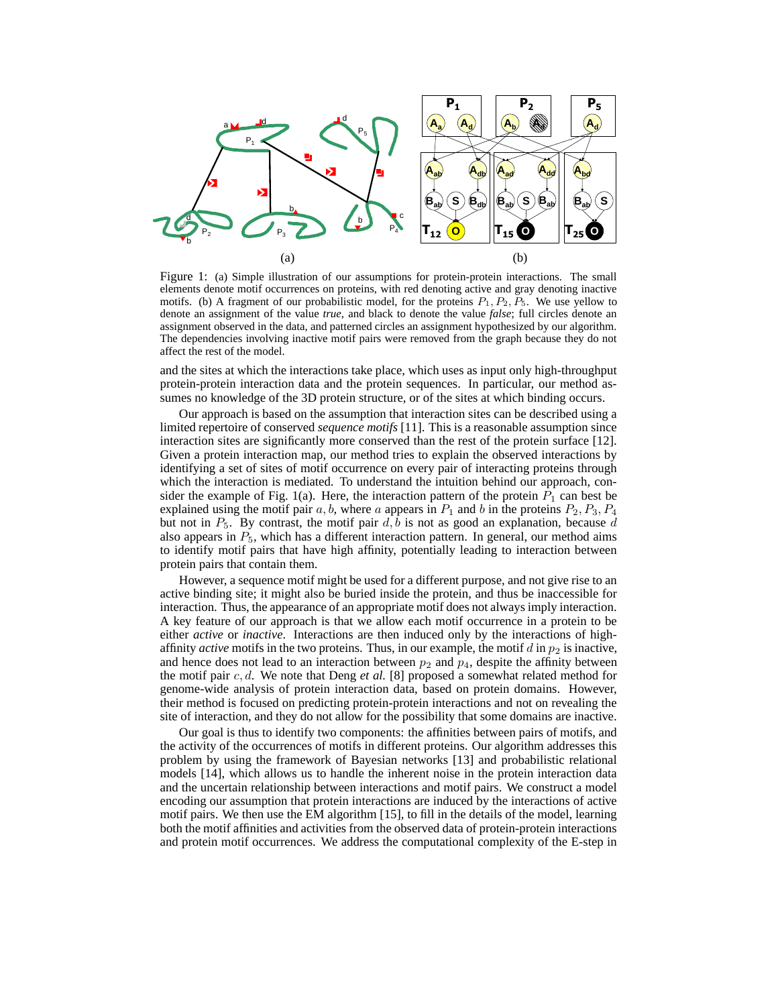

Figure 1: (a) Simple illustration of our assumptions for protein-protein interactions. The small elements denote motif occurrences on proteins, with red denoting active and gray denoting inactive motifs. (b) A fragment of our probabilistic model, for the proteins  $P_1, P_2, P_5$ . We use yellow to denote an assignment of the value *true*, and black to denote the value *false*; full circles denote an assignment observed in the data, and patterned circles an assignment hypothesized by our algorithm. The dependencies involving inactive motif pairs were removed from the graph because they do not affect the rest of the model.

and the sites at which the interactions take place, which uses as input only high-throughput protein-protein interaction data and the protein sequences. In particular, our method assumes no knowledge of the 3D protein structure, or of the sites at which binding occurs.

Our approach is based on the assumption that interaction sites can be described using a limited repertoire of conserved *sequence motifs* [11]. This is a reasonable assumption since interaction sites are significantly more conserved than the rest of the protein surface [12]. Given a protein interaction map, our method tries to explain the observed interactions by identifying a set of sites of motif occurrence on every pair of interacting proteins through which the interaction is mediated. To understand the intuition behind our approach, consider the example of Fig. 1(a). Here, the interaction pattern of the protein  $P_1$  can best be explained using the motif pair  $a, b$ , where  $a$  appears in  $P_1$  and  $b$  in the proteins  $P_2, P_3, P_4$ but not in  $P_5$ . By contrast, the motif pair  $d, b$  is not as good an explanation, because  $d$ also appears in  $P_5$ , which has a different interaction pattern. In general, our method aims to identify motif pairs that have high affinity, potentially leading to interaction between protein pairs that contain them.

However, a sequence motif might be used for a different purpose, and not give rise to an active binding site; it might also be buried inside the protein, and thus be inaccessible for interaction. Thus, the appearance of an appropriate motif does not always imply interaction. A key feature of our approach is that we allow each motif occurrence in a protein to be either *active* or *inactive*. Interactions are then induced only by the interactions of highaffinity *active* motifs in the two proteins. Thus, in our example, the motif  $d$  in  $p_2$  is inactive, and hence does not lead to an interaction between  $p_2$  and  $p_4$ , despite the affinity between the motif pair  $c, d$ . We note that Deng *et al.* [8] proposed a somewhat related method for genome-wide analysis of protein interaction data, based on protein domains. However, their method is focused on predicting protein-protein interactions and not on revealing the site of interaction, and they do not allow for the possibility that some domains are inactive.

Our goal is thus to identify two components: the affinities between pairs of motifs, and the activity of the occurrences of motifs in different proteins. Our algorithm addresses this problem by using the framework of Bayesian networks [13] and probabilistic relational models [14], which allows us to handle the inherent noise in the protein interaction data and the uncertain relationship between interactions and motif pairs. We construct a model encoding our assumption that protein interactions are induced by the interactions of active motif pairs. We then use the EM algorithm [15], to fill in the details of the model, learning both the motif affinities and activities from the observed data of protein-protein interactions and protein motif occurrences. We address the computational complexity of the E-step in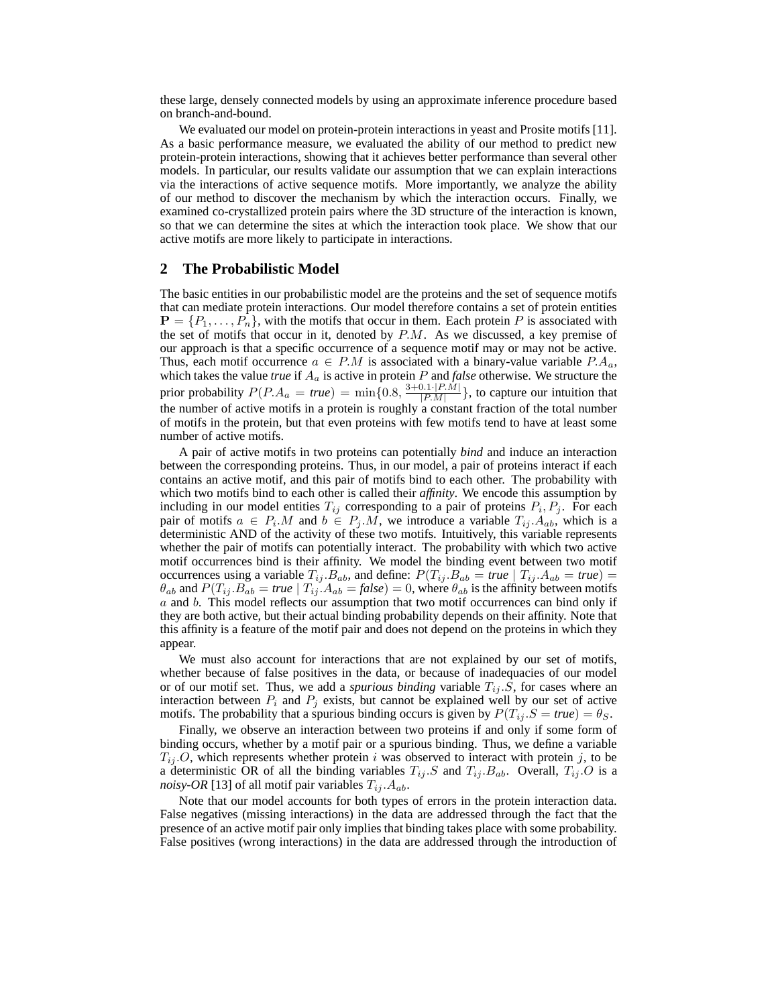these large, densely connected models by using an approximate inference procedure based on branch-and-bound.

We evaluated our model on protein-protein interactions in yeast and Prosite motifs [11]. As a basic performance measure, we evaluated the ability of our method to predict new protein-protein interactions, showing that it achieves better performance than several other models. In particular, our results validate our assumption that we can explain interactions via the interactions of active sequence motifs. More importantly, we analyze the ability of our method to discover the mechanism by which the interaction occurs. Finally, we examined co-crystallized protein pairs where the 3D structure of the interaction is known, so that we can determine the sites at which the interaction took place. We show that our active motifs are more likely to participate in interactions.

#### **2 The Probabilistic Model**

The basic entities in our probabilistic model are the proteins and the set of sequence motifs that can mediate protein interactions. Our model therefore contains a set of protein entities  $\mathbf{P} = \{P_1, \ldots, P_n\}$ , with the motifs that occur in them. Each protein P is associated with the set of motifs that occur in it, denoted by  $P.M.$  As we discussed, a key premise of our approach is that a specific occurrence of a sequence motif may or may not be active. Thus, each motif occurrence  $a \in P.M$  is associated with a binary-value variable  $P.A_a$ , which takes the value *true* if  $A_a$  is active in protein  $P$  and *false* otherwise. We structure the prior probability  $P(P.A_a = true) = \min\{0.8, \frac{3+0.1 \cdot |P.M|}{|P.M|} \}$  $\frac{[P,M]}{[P,M]}$ , to capture our intuition that the number of active motifs in a protein is roughly a constant fraction of the total number of motifs in the protein, but that even proteins with few motifs tend to have at least some number of active motifs.

A pair of active motifs in two proteins can potentially *bind* and induce an interaction between the corresponding proteins. Thus, in our model, a pair of proteins interact if each contains an active motif, and this pair of motifs bind to each other. The probability with which two motifs bind to each other is called their *affinity*. We encode this assumption by including in our model entities  $T_{ij}$  corresponding to a pair of proteins  $P_i, P_j$ . For each pair of motifs  $a \in P_i \ M$  and  $b \in P_j \ M$ , we introduce a variable  $T_{ij} \ A_{ab}$ , which is a deterministic AND of the activity of these two motifs. Intuitively, this variable represents whether the pair of motifs can potentially interact. The probability with which two active motif occurrences bind is their affinity. We model the binding event between two motif occurrences using a variable  $T_{ij}$ .  $B_{ab}$ , and define:  $P(T_{ij}$ .  $B_{ab} = true | T_{ij}$ .  $A_{ab} = true$ ) =  $\theta_{ab}$  and  $P(T_{ij}.B_{ab} = true \mid T_{ij}.A_{ab} = false) = 0$ , where  $\theta_{ab}$  is the affinity between motifs a and b. This model reflects our assumption that two motif occurrences can bind only if they are both active, but their actual binding probability depends on their affinity. Note that this affinity is a feature of the motif pair and does not depend on the proteins in which they appear.

We must also account for interactions that are not explained by our set of motifs, whether because of false positives in the data, or because of inadequacies of our model or of our motif set. Thus, we add a *spurious binding* variable  $T_{ij}$ . S, for cases where an interaction between  $P_i$  and  $P_j$  exists, but cannot be explained well by our set of active motifs. The probability that a spurious binding occurs is given by  $P(T_{ij}, S = true) = \theta_S$ .

Finally, we observe an interaction between two proteins if and only if some form of binding occurs, whether by a motif pair or a spurious binding. Thus, we define a variable  $T_{i,j}$ .O, which represents whether protein i was observed to interact with protein j, to be a deterministic OR of all the binding variables  $T_{ij}$ . S and  $T_{ij}$ . B<sub>ab</sub>. Overall,  $T_{ij}$ . O is a *noisy-OR* [13] of all motif pair variables  $T_{ij}$ .  $A_{ab}$ .

Note that our model accounts for both types of errors in the protein interaction data. False negatives (missing interactions) in the data are addressed through the fact that the presence of an active motif pair only implies that binding takes place with some probability. False positives (wrong interactions) in the data are addressed through the introduction of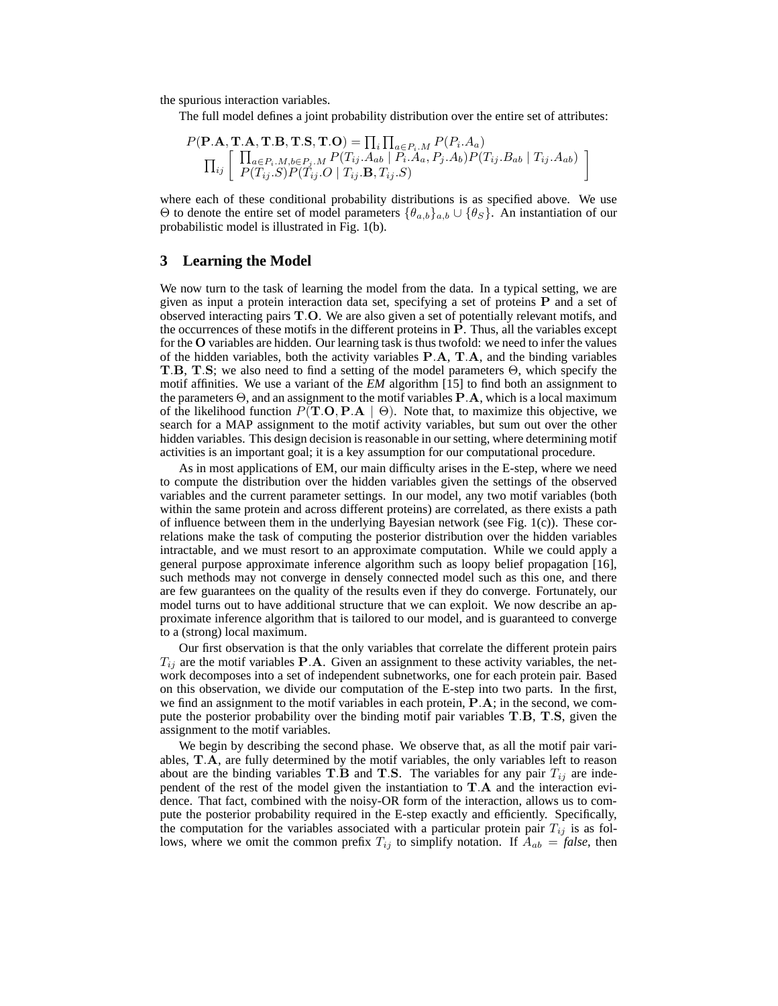the spurious interaction variables.

The full model defines a joint probability distribution over the entire set of attributes:

$$
P(\mathbf{P.A}, \mathbf{T.A}, \mathbf{T.B}, \mathbf{T.S}, \mathbf{T.O}) = \prod_{i} \prod_{a \in P_i \cdot M} P(P_i \cdot A_a)
$$
  

$$
\prod_{ij} \left[ \begin{array}{c} \prod_{a \in P_i \cdot M, b \in P_j \cdot M} P(T_{ij} \cdot A_{ab} \mid P_i \cdot A_a, P_j \cdot A_b) P(T_{ij} \cdot B_{ab} \mid T_{ij} \cdot A_{ab}) \\ P(T_{ij} \cdot S) P(T_{ij} \cdot O \mid T_{ij} \cdot \mathbf{B}, T_{ij} \cdot S) \end{array} \right]
$$

where each of these conditional probability distributions is as specified above. We use  $Θ$  to denote the entire set of model parameters  $\{\theta_{a,b}\}_{{a,b}} \cup \{\theta_{S}\}\$ . An instantiation of our probabilistic model is illustrated in Fig. 1(b).

### **3 Learning the Model**

We now turn to the task of learning the model from the data. In a typical setting, we are given as input a protein interaction data set, specifying a set of proteins  $P$  and a set of observed interacting pairs T.O. We are also given a set of potentially relevant motifs, and the occurrences of these motifs in the different proteins in P. Thus, all the variables except for the O variables are hidden. Our learning task is thus twofold: we need to infer the values of the hidden variables, both the activity variables P.A, T.A, and the binding variables T.B, T.S; we also need to find a setting of the model parameters Θ, which specify the motif affinities. We use a variant of the *EM* algorithm [15] to find both an assignment to the parameters  $\Theta$ , and an assignment to the motif variables  $P.A$ , which is a local maximum of the likelihood function  $P(T.O, PA \mid \Theta)$ . Note that, to maximize this objective, we search for a MAP assignment to the motif activity variables, but sum out over the other hidden variables. This design decision is reasonable in our setting, where determining motif activities is an important goal; it is a key assumption for our computational procedure.

As in most applications of EM, our main difficulty arises in the E-step, where we need to compute the distribution over the hidden variables given the settings of the observed variables and the current parameter settings. In our model, any two motif variables (both within the same protein and across different proteins) are correlated, as there exists a path of influence between them in the underlying Bayesian network (see Fig. 1(c)). These correlations make the task of computing the posterior distribution over the hidden variables intractable, and we must resort to an approximate computation. While we could apply a general purpose approximate inference algorithm such as loopy belief propagation [16], such methods may not converge in densely connected model such as this one, and there are few guarantees on the quality of the results even if they do converge. Fortunately, our model turns out to have additional structure that we can exploit. We now describe an approximate inference algorithm that is tailored to our model, and is guaranteed to converge to a (strong) local maximum.

Our first observation is that the only variables that correlate the different protein pairs  $T_{ij}$  are the motif variables **P.A.** Given an assignment to these activity variables, the network decomposes into a set of independent subnetworks, one for each protein pair. Based on this observation, we divide our computation of the E-step into two parts. In the first, we find an assignment to the motif variables in each protein, P.A; in the second, we compute the posterior probability over the binding motif pair variables T.B, T.S, given the assignment to the motif variables.

We begin by describing the second phase. We observe that, as all the motif pair variables, T.A, are fully determined by the motif variables, the only variables left to reason about are the binding variables T.B and T.S. The variables for any pair  $T_{ij}$  are independent of the rest of the model given the instantiation to T.A and the interaction evidence. That fact, combined with the noisy-OR form of the interaction, allows us to compute the posterior probability required in the E-step exactly and efficiently. Specifically, the computation for the variables associated with a particular protein pair  $T_{ij}$  is as follows, where we omit the common prefix  $T_{ij}$  to simplify notation. If  $A_{ab} = false$ , then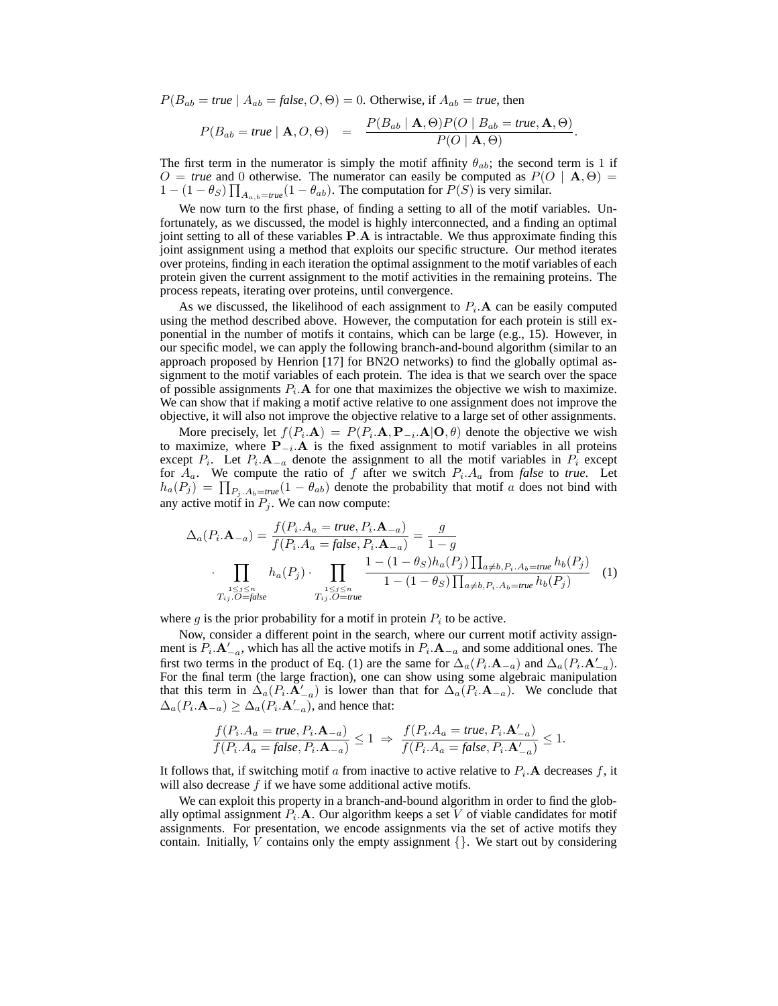$P(B_{ab} = true \mid A_{ab} = false, O, \Theta) = 0$ . Otherwise, if  $A_{ab} = true$ , then

$$
P(B_{ab} = true | \mathbf{A}, O, \Theta) = \frac{P(B_{ab} | \mathbf{A}, \Theta) P(O | B_{ab} = true, \mathbf{A}, \Theta)}{P(O | \mathbf{A}, \Theta)}.
$$

The first term in the numerator is simply the motif affinity  $\theta_{ab}$ ; the second term is 1 if  $O = true$  and 0 otherwise. The numerator can easily be computed as  $P(O | A, \Theta) =$  $1 - (1 - \theta_S) \prod_{A_{a,b} = true} (1 - \theta_{ab})$ . The computation for  $P(S)$  is very similar.

We now turn to the first phase, of finding a setting to all of the motif variables. Unfortunately, as we discussed, the model is highly interconnected, and a finding an optimal joint setting to all of these variables  $P.A$  is intractable. We thus approximate finding this joint assignment using a method that exploits our specific structure. Our method iterates over proteins, finding in each iteration the optimal assignment to the motif variables of each protein given the current assignment to the motif activities in the remaining proteins. The process repeats, iterating over proteins, until convergence.

As we discussed, the likelihood of each assignment to  $P_i$ . A can be easily computed using the method described above. However, the computation for each protein is still exponential in the number of motifs it contains, which can be large (e.g., 15). However, in our specific model, we can apply the following branch-and-bound algorithm (similar to an approach proposed by Henrion [17] for BN2O networks) to find the globally optimal assignment to the motif variables of each protein. The idea is that we search over the space of possible assignments  $P_i$ . A for one that maximizes the objective we wish to maximize. We can show that if making a motif active relative to one assignment does not improve the objective, it will also not improve the objective relative to a large set of other assignments.

More precisely, let  $f(P_i \cdot \mathbf{A}) = P(P_i \cdot \mathbf{A}, \mathbf{P}_{-i} \cdot \mathbf{A} | \mathbf{O}, \theta)$  denote the objective we wish to maximize, where  $\mathbf{P}_{-i}$ . A is the fixed assignment to motif variables in all proteins except  $P_i$ . Let  $P_i$ . A<sub> $-a$ </sub> denote the assignment to all the motif variables in  $P_i$  except for  $A_a$ . We compute the ratio of f after we switch  $P_i \cdot A_a$  from false to *true*. Let  $h_a(P_j) = \prod_{P_j, A_b = true} (1 - \theta_{ab})$  denote the probability that motif a does not bind with any active motif in  $P_j$ . We can now compute:

$$
\Delta_a(P_i \cdot \mathbf{A}_{-a}) = \frac{f(P_i \cdot A_a = true, P_i \cdot \mathbf{A}_{-a})}{f(P_i \cdot A_a = false, P_i \cdot \mathbf{A}_{-a})} = \frac{g}{1 - g}
$$
\n
$$
\cdot \prod_{\substack{1 \le j \le n \\ T_{ij}, O = false}} h_a(P_j) \cdot \prod_{\substack{1 \le j \le n \\ T_{ij}, O = true}} \frac{1 - (1 - \theta_S)h_a(P_j) \prod_{a \ne b, P_i \cdot A_b = true} h_b(P_j)}{1 - (1 - \theta_S) \prod_{a \ne b, P_i \cdot A_b = true} h_b(P_j)} \tag{1}
$$

where  $g$  is the prior probability for a motif in protein  $P_i$  to be active.

Now, consider a different point in the search, where our current motif activity assignment is  $P_i \cdot A_{-a}$ , which has all the active motifs in  $P_i \cdot A_{-a}$  and some additional ones. The first two terms in the product of Eq. (1) are the same for  $\Delta_a(P_i \cdot \mathbf{A}_{-a})$  and  $\Delta_a(P_i \cdot \mathbf{A}_{-a}')$ . For the final term (the large fraction), one can show using some algebraic manipulation that this term in  $\Delta_a(P_i, \mathbf{A}_{-a}')$  is lower than that for  $\Delta_a(P_i, \mathbf{A}_{-a})$ . We conclude that  $\Delta_a(P_i \cdot \mathbf{A}_{-a}) \geq \Delta_a(P_i \cdot \mathbf{A}_{-a}^{\'}),$  and hence that:

$$
\frac{f(P_i.A_a = true, P_i.A_{-a})}{f(P_i.A_a = false, P_i.A_{-a})} \le 1 \implies \frac{f(P_i.A_a = true, P_i.A'_{-a})}{f(P_i.A_a = false, P_i.A'_{-a})} \le 1.
$$

It follows that, if switching motif a from inactive to active relative to  $P_i$ . A decreases f, it will also decrease  $f$  if we have some additional active motifs.

We can exploit this property in a branch-and-bound algorithm in order to find the globally optimal assignment  $P_i$ . A. Our algorithm keeps a set V of viable candidates for motif assignments. For presentation, we encode assignments via the set of active motifs they contain. Initially, V contains only the empty assignment  $\{\}$ . We start out by considering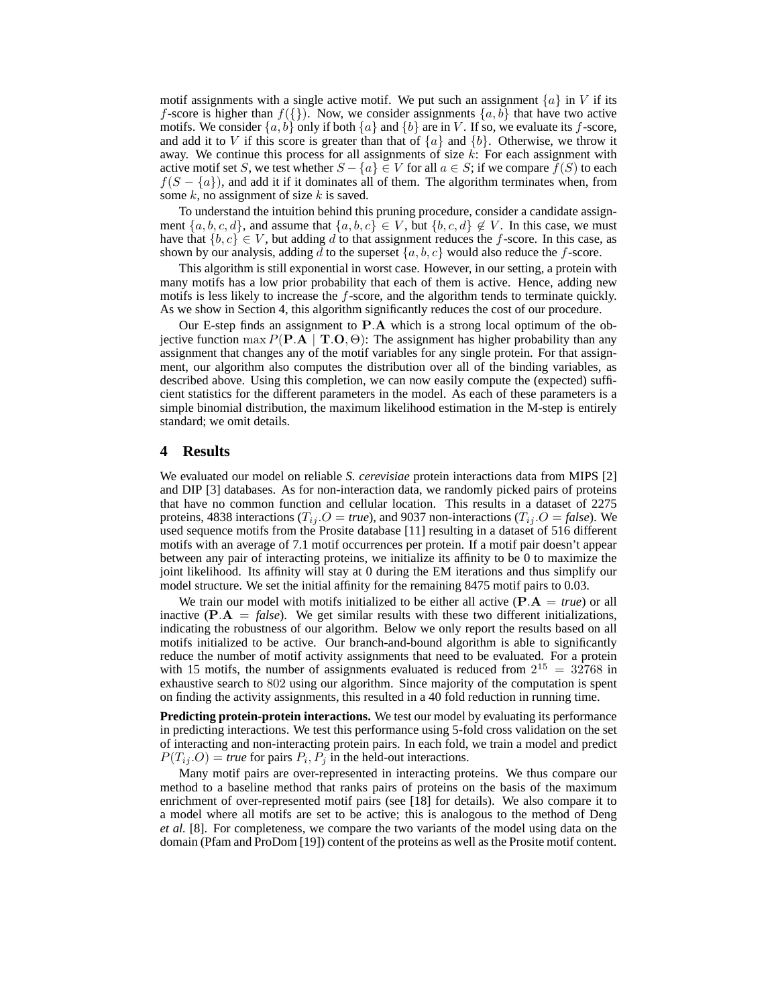motif assignments with a single active motif. We put such an assignment  $\{a\}$  in V if its f-score is higher than  $f({})$ . Now, we consider assignments  ${a,b}$  that have two active motifs. We consider  $\{a, b\}$  only if both  $\{a\}$  and  $\{b\}$  are in V. If so, we evaluate its f-score, and add it to V if this score is greater than that of  $\{a\}$  and  $\{b\}$ . Otherwise, we throw it away. We continue this process for all assignments of size  $k$ : For each assignment with active motif set S, we test whether  $S - \{a\} \in V$  for all  $a \in S$ ; if we compare  $f(S)$  to each  $f(S - \{a\})$ , and add it if it dominates all of them. The algorithm terminates when, from some  $k$ , no assignment of size  $k$  is saved.

To understand the intuition behind this pruning procedure, consider a candidate assignment  $\{a, b, c, d\}$ , and assume that  $\{a, b, c\} \in V$ , but  $\{b, c, d\} \notin V$ . In this case, we must have that  ${b, c} \in V$ , but adding d to that assignment reduces the f-score. In this case, as shown by our analysis, adding d to the superset  $\{a, b, c\}$  would also reduce the f-score.

This algorithm is still exponential in worst case. However, in our setting, a protein with many motifs has a low prior probability that each of them is active. Hence, adding new motifs is less likely to increase the f-score, and the algorithm tends to terminate quickly. As we show in Section 4, this algorithm significantly reduces the cost of our procedure.

Our E-step finds an assignment to  $P.A$  which is a strong local optimum of the objective function max  $P(\mathbf{P}.\mathbf{A} | \mathbf{T}.\mathbf{O}, \Theta)$ : The assignment has higher probability than any assignment that changes any of the motif variables for any single protein. For that assignment, our algorithm also computes the distribution over all of the binding variables, as described above. Using this completion, we can now easily compute the (expected) sufficient statistics for the different parameters in the model. As each of these parameters is a simple binomial distribution, the maximum likelihood estimation in the M-step is entirely standard; we omit details.

#### **4 Results**

We evaluated our model on reliable *S. cerevisiae* protein interactions data from MIPS [2] and DIP [3] databases. As for non-interaction data, we randomly picked pairs of proteins that have no common function and cellular location. This results in a dataset of 2275 proteins, 4838 interactions ( $T_{ij}$ . $O = true$ ), and 9037 non-interactions ( $T_{ij}$ . $O = false$ ). We used sequence motifs from the Prosite database [11] resulting in a dataset of 516 different motifs with an average of 7.1 motif occurrences per protein. If a motif pair doesn't appear between any pair of interacting proteins, we initialize its affinity to be 0 to maximize the joint likelihood. Its affinity will stay at 0 during the EM iterations and thus simplify our model structure. We set the initial affinity for the remaining 8475 motif pairs to 0.03.

We train our model with motifs initialized to be either all active  $(P.A = true)$  or all inactive  $(P.A = false)$ . We get similar results with these two different initializations, indicating the robustness of our algorithm. Below we only report the results based on all motifs initialized to be active. Our branch-and-bound algorithm is able to significantly reduce the number of motif activity assignments that need to be evaluated. For a protein with 15 motifs, the number of assignments evaluated is reduced from  $2^{15} = 32768$  in exhaustive search to 802 using our algorithm. Since majority of the computation is spent on finding the activity assignments, this resulted in a 40 fold reduction in running time.

**Predicting protein-protein interactions.** We test our model by evaluating its performance in predicting interactions. We test this performance using 5-fold cross validation on the set of interacting and non-interacting protein pairs. In each fold, we train a model and predict  $P(T_{ij}.O) =$  *true* for pairs  $P_i$ ,  $P_j$  in the held-out interactions.

Many motif pairs are over-represented in interacting proteins. We thus compare our method to a baseline method that ranks pairs of proteins on the basis of the maximum enrichment of over-represented motif pairs (see [18] for details). We also compare it to a model where all motifs are set to be active; this is analogous to the method of Deng *et al.* [8]. For completeness, we compare the two variants of the model using data on the domain (Pfam and ProDom [19]) content of the proteins as well as the Prosite motif content.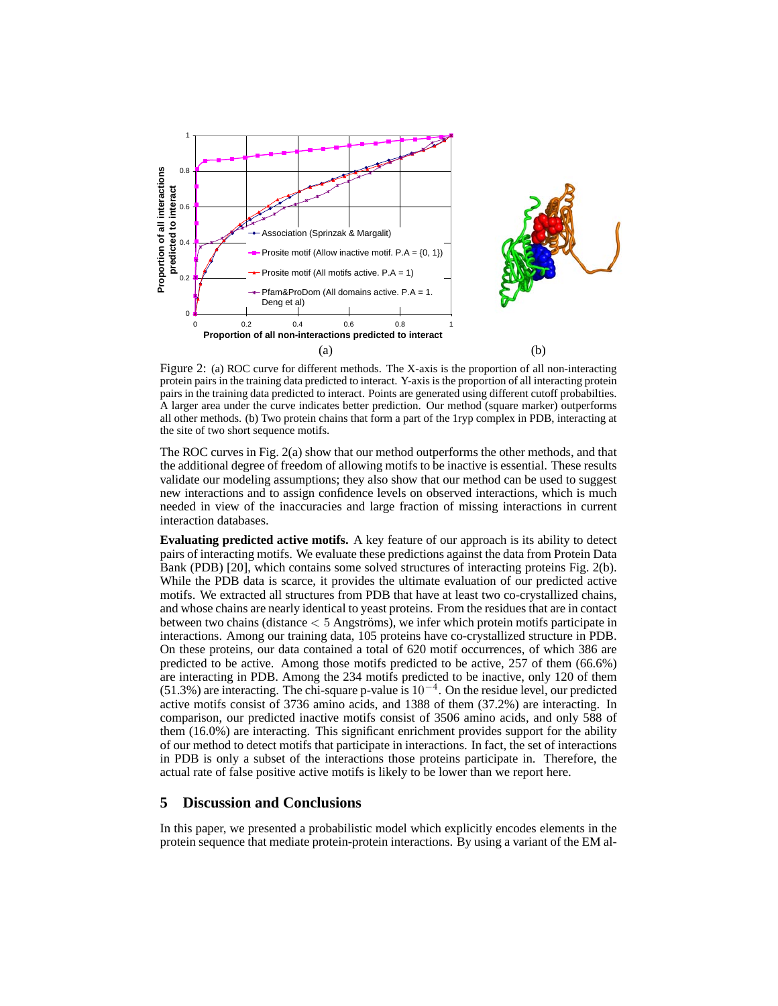

Figure 2: (a) ROC curve for different methods. The X-axis is the proportion of all non-interacting protein pairs in the training data predicted to interact. Y-axis is the proportion of all interacting protein pairs in the training data predicted to interact. Points are generated using different cutoff probabilties. A larger area under the curve indicates better prediction. Our method (square marker) outperforms all other methods. (b) Two protein chains that form a part of the 1ryp complex in PDB, interacting at the site of two short sequence motifs.

The ROC curves in Fig. 2(a) show that our method outperforms the other methods, and that the additional degree of freedom of allowing motifs to be inactive is essential. These results validate our modeling assumptions; they also show that our method can be used to suggest new interactions and to assign confidence levels on observed interactions, which is much needed in view of the inaccuracies and large fraction of missing interactions in current interaction databases.

**Evaluating predicted active motifs.** A key feature of our approach is its ability to detect pairs of interacting motifs. We evaluate these predictions against the data from Protein Data Bank (PDB) [20], which contains some solved structures of interacting proteins Fig. 2(b). While the PDB data is scarce, it provides the ultimate evaluation of our predicted active motifs. We extracted all structures from PDB that have at least two co-crystallized chains, and whose chains are nearly identical to yeast proteins. From the residues that are in contact between two chains (distance  $< 5$  Angströms), we infer which protein motifs participate in interactions. Among our training data, 105 proteins have co-crystallized structure in PDB. On these proteins, our data contained a total of 620 motif occurrences, of which 386 are predicted to be active. Among those motifs predicted to be active, 257 of them (66.6%) are interacting in PDB. Among the 234 motifs predicted to be inactive, only 120 of them (51.3%) are interacting. The chi-square p-value is 10<sup>−</sup><sup>4</sup> . On the residue level, our predicted active motifs consist of 3736 amino acids, and 1388 of them (37.2%) are interacting. In comparison, our predicted inactive motifs consist of 3506 amino acids, and only 588 of them (16.0%) are interacting. This significant enrichment provides support for the ability of our method to detect motifs that participate in interactions. In fact, the set of interactions in PDB is only a subset of the interactions those proteins participate in. Therefore, the actual rate of false positive active motifs is likely to be lower than we report here.

## **5 Discussion and Conclusions**

In this paper, we presented a probabilistic model which explicitly encodes elements in the protein sequence that mediate protein-protein interactions. By using a variant of the EM al-